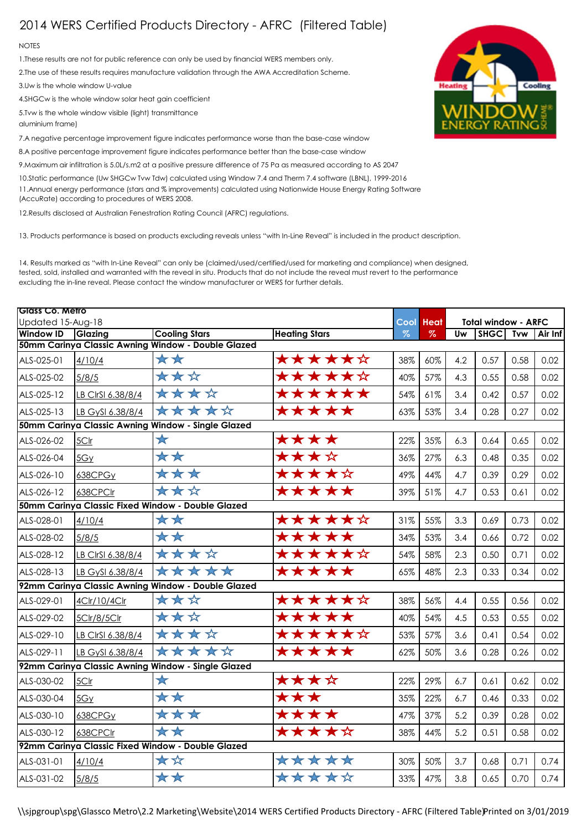## 2014 WERS Certified Products Directory - AFRC (Filtered Table)

## **NOTES**

1.These results are not for public reference can only be used by financial WERS members only.

2.The use of these results requires manufacture validation through the AWA Accreditation Scheme.

3.Uw is the whole window U-value

4.SHGCw is the whole window solar heat gain coefficient

5.Tvw is the whole window visible (light) transmittance

aluminium frame)

7.A negative percentage improvement figure indicates performance worse than the base-case window

8.A positive percentage improvement figure indicates performance better than the base-case window

9.Maximum air infiltration is 5.0L/s.m2 at a positive pressure difference of 75 Pa as measured according to AS 2047

10.Static performance (Uw SHGCw Tvw Tdw) calculated using Window 7.4 and Therm 7.4 software (LBNL), 1999-2016 11.Annual energy performance (stars and % improvements) calculated using Nationwide House Energy Rating Software (AccuRate) according to procedures of WERS 2008.

12.Results disclosed at Australian Fenestration Rating Council (AFRC) regulations.

13. Products performance is based on products excluding reveals unless "with In-Line Reveal" is included in the product description.

14. Results marked as "with In-Line Reveal" can only be (claimed/used/certified/used for marketing and compliance) when designed, tested, sold, installed and warranted with the reveal in situ. Products that do not include the reveal must revert to the performance excluding the in-line reveal. Please contact the window manufacturer or WERS for further details.

| Glass Co. Metro<br>Updated 15-Aug-18               |                   |                                                    |        |                     | <b>Total window - ARFC</b> |     |             |            |         |  |
|----------------------------------------------------|-------------------|----------------------------------------------------|--------|---------------------|----------------------------|-----|-------------|------------|---------|--|
| <b>Window ID</b>                                   | <b>Glazing</b>    | <b>Cooling Stars</b><br><b>Heating Stars</b>       |        | <b>Cool</b><br>$\%$ | <b>Heat</b><br>$\%$        | Uw  | <b>SHGC</b> | <b>Tvw</b> | Air Inf |  |
|                                                    |                   | 50mm Carinya Classic Awning Window - Double Glazed |        |                     |                            |     |             |            |         |  |
| ALS-025-01                                         | 4/10/4            | **                                                 | ★★★★★☆ | 38%                 | 60%                        | 4.2 | 0.57        | 0.58       | 0.02    |  |
| ALS-025-02                                         | 5/8/5             | ***                                                | ★★★★★☆ | 40%                 | 57%                        | 4.3 | 0.55        | 0.58       | 0.02    |  |
| ALS-025-12                                         | LB CIrSI 6.38/8/4 | ****                                               | ****** | 54%                 | 61%                        | 3.4 | 0.42        | 0.57       | 0.02    |  |
| ALS-025-13                                         | LB GySI 6.38/8/4  | *****                                              | *****  | 63%                 | 53%                        | 3.4 | 0.28        | 0.27       | 0.02    |  |
| 50mm Carinya Classic Awning Window - Single Glazed |                   |                                                    |        |                     |                            |     |             |            |         |  |
| ALS-026-02                                         | 5Clr              | $\star$                                            | ****   | 22%                 | 35%                        | 6.3 | 0.64        | 0.65       | 0.02    |  |
| ALS-026-04                                         | 5Gy               | **                                                 | ★★★☆   | 36%                 | 27%                        | 6.3 | 0.48        | 0.35       | 0.02    |  |
| ALS-026-10                                         | 638CPGy           | ***                                                | ★★★★☆  | 49%                 | 44%                        | 4.7 | 0.39        | 0.29       | 0.02    |  |
| ALS-026-12                                         | 638CPClr          | ***                                                | *****  | 39%                 | 51%                        | 4.7 | 0.53        | 0.61       | 0.02    |  |
|                                                    |                   | 50mm Carinya Classic Fixed Window - Double Glazed  |        |                     |                            |     |             |            |         |  |
| ALS-028-01                                         | 4/10/4            | **                                                 | ★★★★★☆ | 31%                 | 55%                        | 3.3 | 0.69        | 0.73       | 0.02    |  |
| ALS-028-02                                         | 5/8/5             | **                                                 | *****  | 34%                 | 53%                        | 3.4 | 0.66        | 0.72       | 0.02    |  |
| ALS-028-12                                         | LB CIrSI 6.38/8/4 | ****                                               | ****** | 54%                 | 58%                        | 2.3 | 0.50        | 0.71       | 0.02    |  |
| ALS-028-13                                         | LB GySI 6.38/8/4  | $\frac{1}{2}$<br>**<br>$\star\star$                | *****  | 65%                 | 48%                        | 2.3 | 0.33        | 0.34       | 0.02    |  |
| 92mm Carinya Classic Awning Window - Double Glazed |                   |                                                    |        |                     |                            |     |             |            |         |  |
| ALS-029-01                                         | 4Clr/10/4Clr      | ***                                                | ****** | 38%                 | 56%                        | 4.4 | 0.55        | 0.56       | 0.02    |  |
| ALS-029-02                                         | 5Clr/8/5Clr       | ***                                                | *****  | 40%                 | 54%                        | 4.5 | 0.53        | 0.55       | 0.02    |  |
| ALS-029-10                                         | LB CIrSI 6.38/8/4 | ****                                               | ★★★★★☆ | 53%                 | 57%                        | 3.6 | 0.41        | 0.54       | 0.02    |  |
| ALS-029-11                                         | LB GySI 6.38/8/4  | *****                                              | *****  | 62%                 | 50%                        | 3.6 | 0.28        | 0.26       | 0.02    |  |
|                                                    |                   | 92mm Carinya Classic Awning Window - Single Glazed |        |                     |                            |     |             |            |         |  |
| ALS-030-02                                         | 5Clr              | $\bigstar$                                         | ****   | 22%                 | 29%                        | 6.7 | 0.61        | 0.62       | 0.02    |  |
| ALS-030-04                                         | 5Gy               | **                                                 | ***    | 35%                 | 22%                        | 6.7 | 0.46        | 0.33       | 0.02    |  |
| ALS-030-10                                         | 638CPGy           | ***                                                | ****   | 47%                 | 37%                        | 5.2 | 0.39        | 0.28       | 0.02    |  |
| ALS-030-12                                         | 638CPClr          | **                                                 | *****  | 38%                 | 44%                        | 5.2 | 0.51        | 0.58       | 0.02    |  |
| 92mm Carinya Classic Fixed Window - Double Glazed  |                   |                                                    |        |                     |                            |     |             |            |         |  |
| ALS-031-01                                         | 4/10/4            | **                                                 | *****  | 30%                 | 50%                        | 3.7 | 0.68        | 0.71       | 0.74    |  |
| ALS-031-02                                         | 5/8/5             | **                                                 | *****  | 33%                 | 47%                        | 3.8 | 0.65        | 0.70       | 0.74    |  |

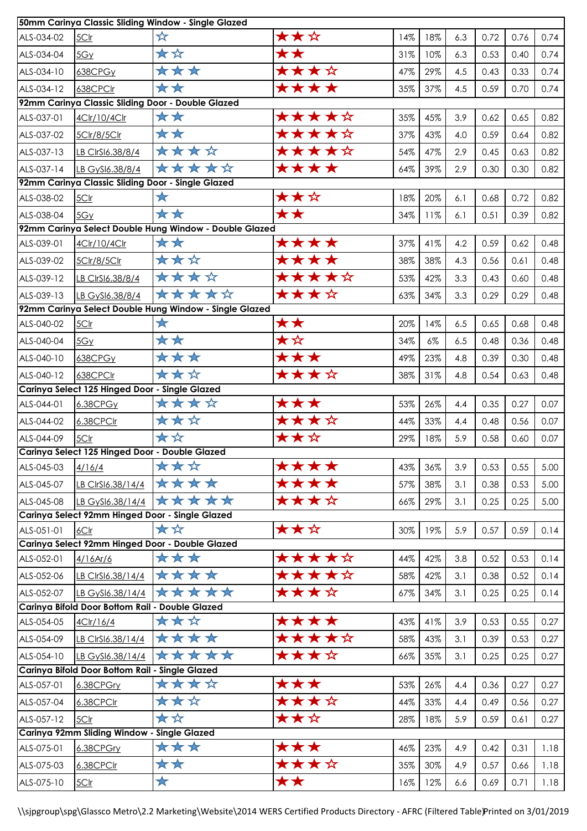| 50mm Carinya Classic Sliding Window - Single Glazed |                                                 |                                                        |       |     |       |     |      |      |      |  |
|-----------------------------------------------------|-------------------------------------------------|--------------------------------------------------------|-------|-----|-------|-----|------|------|------|--|
| ALS-034-02                                          | 5Clr                                            | ☆                                                      | ★★☆   | 14% | 18%   | 6.3 | 0.72 | 0.76 | 0.74 |  |
| ALS-034-04                                          | 5Gy                                             | **                                                     | **    | 31% | 10%   | 6.3 | 0.53 | 0.40 | 0.74 |  |
| ALS-034-10                                          | 638CPG <sub>Y</sub>                             | ***                                                    | ****  | 47% | 29%   | 4.5 | 0.43 | 0.33 | 0.74 |  |
| ALS-034-12                                          | 638CPClr                                        | **                                                     | ****  | 35% | 37%   | 4.5 | 0.59 | 0.70 | 0.74 |  |
| 92mm Carinya Classic Sliding Door - Double Glazed   |                                                 |                                                        |       |     |       |     |      |      |      |  |
| ALS-037-01                                          | 4Clr/10/4Clr                                    | **                                                     | ***** | 35% | 45%   | 3.9 | 0.62 | 0.65 | 0.82 |  |
| ALS-037-02                                          | 5Clr/8/5Clr                                     | **                                                     | ***** | 37% | 43%   | 4.0 | 0.59 | 0.64 | 0.82 |  |
| ALS-037-13                                          | LB ClrSI6.38/8/4                                | ****                                                   | ★★★★☆ | 54% | 47%   | 2.9 | 0.45 | 0.63 | 0.82 |  |
| ALS-037-14                                          | LB GySI6.38/8/4                                 | *****                                                  | ****  | 64% | 39%   | 2.9 | 0.30 | 0.30 | 0.82 |  |
|                                                     |                                                 | 92mm Carinya Classic Sliding Door - Single Glazed      |       |     |       |     |      |      |      |  |
| ALS-038-02                                          | 5Clr                                            | ★                                                      | ★★☆   | 18% | 20%   | 6.1 | 0.68 | 0.72 | 0.82 |  |
| ALS-038-04                                          | 5Gy                                             | **                                                     | **    | 34% | 11%   | 6.1 | 0.51 | 0.39 | 0.82 |  |
|                                                     |                                                 | 92mm Carinya Select Double Hung Window - Double Glazed |       |     |       |     |      |      |      |  |
| ALS-039-01                                          | 4Clr/10/4Clr                                    | **                                                     | ****  | 37% | 41%   | 4.2 | 0.59 | 0.62 | 0.48 |  |
| ALS-039-02                                          | 5Clr/8/5Clr                                     | ***                                                    | ****  | 38% | 38%   | 4.3 | 0.56 | 0.61 | 0.48 |  |
| ALS-039-12                                          | LB CIrSI6.38/8/4                                | ****                                                   | ★★★★☆ | 53% | 42%   | 3.3 | 0.43 | 0.60 | 0.48 |  |
| ALS-039-13                                          | LB GySI6.38/8/4                                 | *****                                                  | ★★★☆  | 63% | 34%   | 3.3 | 0.29 | 0.29 | 0.48 |  |
|                                                     |                                                 | 92mm Carinya Select Double Hung Window - Single Glazed |       |     |       |     |      |      |      |  |
| ALS-040-02                                          | 5Clr                                            | $\bigstar$                                             | **    | 20% | 14%   | 6.5 | 0.65 | 0.68 | 0.48 |  |
| ALS-040-04                                          | 5Gy                                             | **                                                     | ★☆    | 34% | $6\%$ | 6.5 | 0.48 | 0.36 | 0.48 |  |
| ALS-040-10                                          | 638CPGy                                         | ***                                                    | ***   | 49% | 23%   | 4.8 | 0.39 | 0.30 | 0.48 |  |
| ALS-040-12                                          | 638CPClr                                        | ***                                                    | ★★★☆  | 38% | 31%   | 4.8 | 0.54 | 0.63 | 0.48 |  |
| Carinya Select 125 Hinged Door - Single Glazed      |                                                 |                                                        |       |     |       |     |      |      |      |  |
| ALS-044-01                                          | 6.38CPGy                                        | ****                                                   | ***   | 53% | 26%   | 4.4 | 0.35 | 0.27 | 0.07 |  |
| ALS-044-02                                          | 6.38CPCIr                                       | ***                                                    | ****  | 44% | 33%   | 4.4 | 0.48 | 0.56 | 0.07 |  |
| ALS-044-09                                          | 5Clr                                            | **                                                     | ★★☆   | 29% | 18%   | 5.9 | 0.58 | 0.60 | 0.07 |  |
| Carinya Select 125 Hinged Door - Double Glazed      |                                                 |                                                        |       |     |       |     |      |      |      |  |
| ALS-045-03                                          | 4/16/4                                          | ***                                                    | ****  | 43% | 36%   | 3.9 | 0.53 | 0.55 | 5.00 |  |
| ALS-045-07                                          | LB CIrSI6.38/14/4                               | ****                                                   | ****  | 57% | 38%   | 3.1 | 0.38 | 0.53 | 5.00 |  |
| ALS-045-08                                          | LB GySI6.38/14/4                                | *****                                                  | ★★★☆  | 66% | 29%   | 3.1 | 0.25 | 0.25 | 5.00 |  |
|                                                     |                                                 | Carinya Select 92mm Hinged Door - Single Glazed        |       |     |       |     |      |      |      |  |
| ALS-051-01                                          | 6Clr                                            | **                                                     | ★★☆   | 30% | 19%   | 5.9 | 0.57 | 0.59 | 0.14 |  |
|                                                     |                                                 | Carinya Select 92mm Hinged Door - Double Glazed        |       |     |       |     |      |      |      |  |
| ALS-052-01                                          | 4/16Ar/6                                        | ***                                                    | ***** | 44% | 42%   | 3.8 | 0.52 | 0.53 | 0.14 |  |
| ALS-052-06                                          | LB CIrSI6.38/14/4                               | ****                                                   | ★★★★☆ | 58% | 42%   | 3.1 | 0.38 | 0.52 | 0.14 |  |
| ALS-052-07                                          | LB GySI6.38/14/4                                | *****                                                  | ****  | 67% | 34%   | 3.1 | 0.25 | 0.25 | 0.14 |  |
|                                                     | Carinya Bifold Door Bottom Rail - Double Glazed |                                                        |       |     |       |     |      |      |      |  |
| ALS-054-05                                          | 4Clr/16/4                                       | ***                                                    | ****  | 43% | 41%   | 3.9 | 0.53 | 0.55 | 0.27 |  |
| ALS-054-09                                          | LB CIrSI6.38/14/4                               | ****                                                   | ★★★★☆ | 58% | 43%   | 3.1 | 0.39 | 0.53 | 0.27 |  |
| ALS-054-10                                          | LB GySI6.38/14/4                                | *****                                                  | ****  | 66% | 35%   | 3.1 | 0.25 | 0.25 | 0.27 |  |
| Carinya Bifold Door Bottom Rail - Single Glazed     |                                                 |                                                        |       |     |       |     |      |      |      |  |
| ALS-057-01                                          | 6.38CPGry                                       | ****                                                   | ***   | 53% | 26%   | 4.4 | 0.36 | 0.27 | 0.27 |  |
| ALS-057-04                                          | 6.38CPClr                                       | ***                                                    | ★★★☆  | 44% | 33%   | 4.4 | 0.49 | 0.56 | 0.27 |  |
| ALS-057-12                                          | 5Clr                                            | **                                                     | ★★☆   | 28% | 18%   | 5.9 | 0.59 | 0.61 | 0.27 |  |
| Carinya 92mm Sliding Window - Single Glazed         |                                                 |                                                        |       |     |       |     |      |      |      |  |
| ALS-075-01                                          | 6.38CPGry                                       | ***                                                    | ***   | 46% | 23%   | 4.9 | 0.42 | 0.31 | 1.18 |  |
| ALS-075-03                                          | 6.38CPCIr                                       | **                                                     | ★★★☆  | 35% | 30%   | 4.9 | 0.57 | 0.66 | 1.18 |  |
| ALS-075-10                                          | 5Clr                                            | $\bigstar$                                             | **    | 16% | 12%   | 6.6 | 0.69 | 0.71 | 1.18 |  |

\\sjpgroup\spg\Glassco Metro\2.2 Marketing\Website\2014 WERS Certified Products Directory - AFRC (Filtered Table)Printed on 3/01/2019